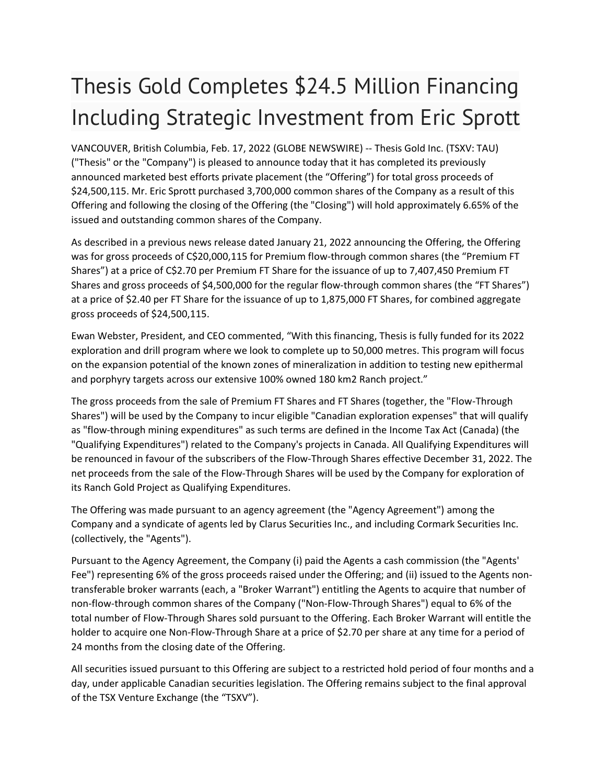## Thesis Gold Completes \$24.5 Million Financing Including Strategic Investment from Eric Sprott

VANCOUVER, British Columbia, Feb. 17, 2022 (GLOBE NEWSWIRE) -- Thesis Gold Inc. (TSXV: TAU) ("Thesis" or the "Company") is pleased to announce today that it has completed its previously announced marketed best efforts private placement (the "Offering") for total gross proceeds of \$24,500,115. Mr. Eric Sprott purchased 3,700,000 common shares of the Company as a result of this Offering and following the closing of the Offering (the "Closing") will hold approximately 6.65% of the issued and outstanding common shares of the Company.

As described in a previous news release dated January 21, 2022 announcing the Offering, the Offering was for gross proceeds of C\$20,000,115 for Premium flow-through common shares (the "Premium FT Shares") at a price of C\$2.70 per Premium FT Share for the issuance of up to 7,407,450 Premium FT Shares and gross proceeds of \$4,500,000 for the regular flow-through common shares (the "FT Shares") at a price of \$2.40 per FT Share for the issuance of up to 1,875,000 FT Shares, for combined aggregate gross proceeds of \$24,500,115.

Ewan Webster, President, and CEO commented, "With this financing, Thesis is fully funded for its 2022 exploration and drill program where we look to complete up to 50,000 metres. This program will focus on the expansion potential of the known zones of mineralization in addition to testing new epithermal and porphyry targets across our extensive 100% owned 180 km2 Ranch project."

The gross proceeds from the sale of Premium FT Shares and FT Shares (together, the "Flow-Through Shares") will be used by the Company to incur eligible "Canadian exploration expenses" that will qualify as "flow-through mining expenditures" as such terms are defined in the Income Tax Act (Canada) (the "Qualifying Expenditures") related to the Company's projects in Canada. All Qualifying Expenditures will be renounced in favour of the subscribers of the Flow-Through Shares effective December 31, 2022. The net proceeds from the sale of the Flow-Through Shares will be used by the Company for exploration of its Ranch Gold Project as Qualifying Expenditures.

The Offering was made pursuant to an agency agreement (the "Agency Agreement") among the Company and a syndicate of agents led by Clarus Securities Inc., and including Cormark Securities Inc. (collectively, the "Agents").

Pursuant to the Agency Agreement, the Company (i) paid the Agents a cash commission (the "Agents' Fee") representing 6% of the gross proceeds raised under the Offering; and (ii) issued to the Agents nontransferable broker warrants (each, a "Broker Warrant") entitling the Agents to acquire that number of non-flow-through common shares of the Company ("Non-Flow-Through Shares") equal to 6% of the total number of Flow-Through Shares sold pursuant to the Offering. Each Broker Warrant will entitle the holder to acquire one Non-Flow-Through Share at a price of \$2.70 per share at any time for a period of 24 months from the closing date of the Offering.

All securities issued pursuant to this Offering are subject to a restricted hold period of four months and a day, under applicable Canadian securities legislation. The Offering remains subject to the final approval of the TSX Venture Exchange (the "TSXV").